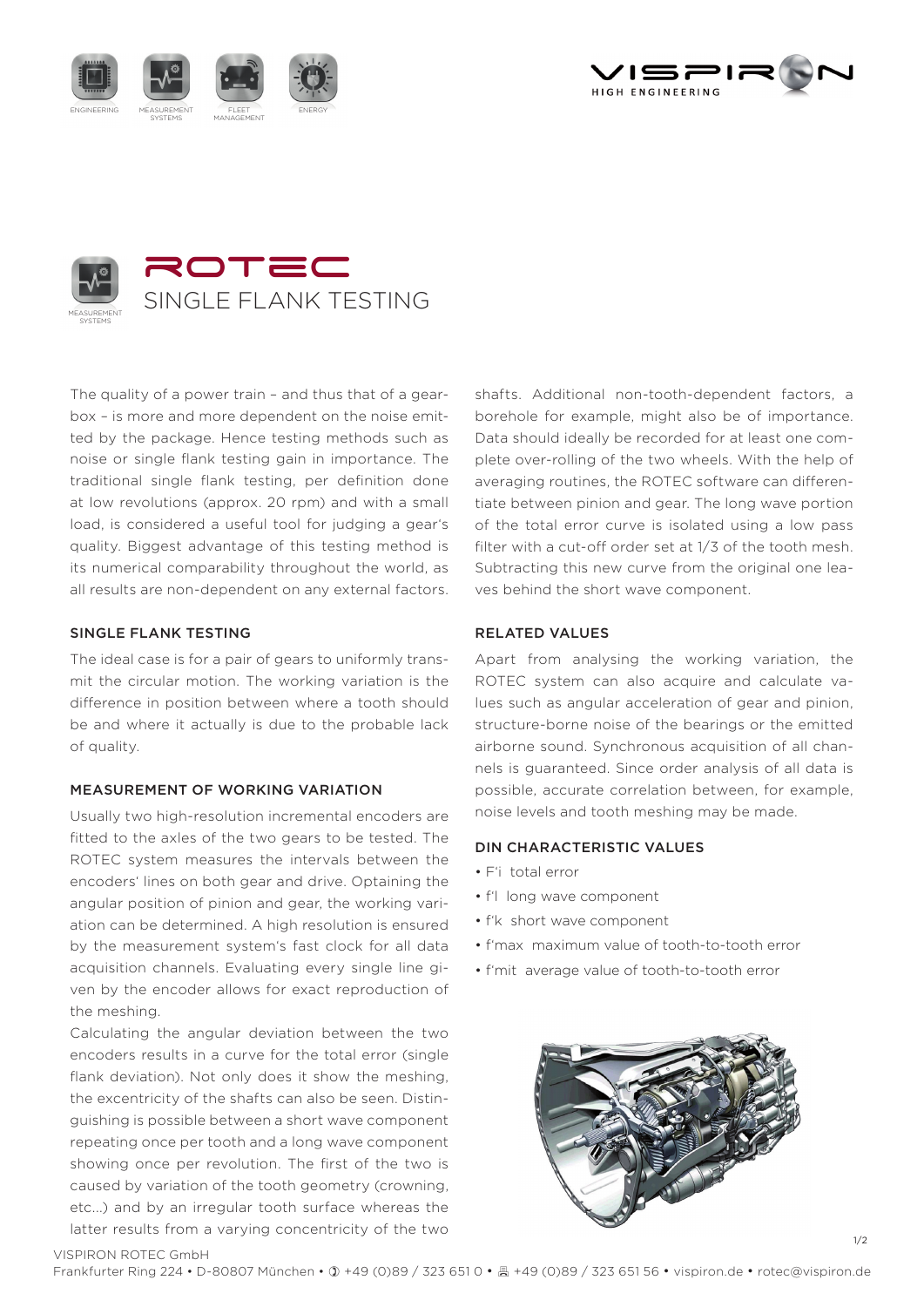





The quality of a power train – and thus that of a gearbox – is more and more dependent on the noise emitted by the package. Hence testing methods such as noise or single flank testing gain in importance. The traditional single flank testing, per definition done at low revolutions (approx. 20 rpm) and with a small load, is considered a useful tool for judging a gear's quality. Biggest advantage of this testing method is its numerical comparability throughout the world, as all results are non-dependent on any external factors.

## SINGLE FLANK TESTING

The ideal case is for a pair of gears to uniformly transmit the circular motion. The working variation is the difference in position between where a tooth should be and where it actually is due to the probable lack of quality.

## MEASUREMENT OF WORKING VARIATION

Usually two high-resolution incremental encoders are fitted to the axles of the two gears to be tested. The ROTEC system measures the intervals between the encoders' lines on both gear and drive. Optaining the angular position of pinion and gear, the working variation can be determined. A high resolution is ensured by the measurement system's fast clock for all data acquisition channels. Evaluating every single line given by the encoder allows for exact reproduction of the meshing.

Calculating the angular deviation between the two encoders results in a curve for the total error (single flank deviation). Not only does it show the meshing, the excentricity of the shafts can also be seen. Distinguishing is possible between a short wave component repeating once per tooth and a long wave component showing once per revolution. The first of the two is caused by variation of the tooth geometry (crowning, etc...) and by an irregular tooth surface whereas the latter results from a varying concentricity of the two shafts. Additional non-tooth-dependent factors, a borehole for example, might also be of importance. Data should ideally be recorded for at least one complete over-rolling of the two wheels. With the help of averaging routines, the ROTEC software can differentiate between pinion and gear. The long wave portion of the total error curve is isolated using a low pass filter with a cut-off order set at  $1/3$  of the tooth mesh. Subtracting this new curve from the original one leaves behind the short wave component.

## RELATED VALUES

Apart from analysing the working variation, the ROTEC system can also acquire and calculate values such as angular acceleration of gear and pinion, structure-borne noise of the bearings or the emitted airborne sound. Synchronous acquisition of all channels is guaranteed. Since order analysis of all data is possible, accurate correlation between, for example, noise levels and tooth meshing may be made.

# DIN CHARACTERISTIC VALUES

- F'i total error
- f'l long wave component
- f'k short wave component
- f'max maximum value of tooth-to-tooth error
- f'mit average value of tooth-to-tooth error



1/2